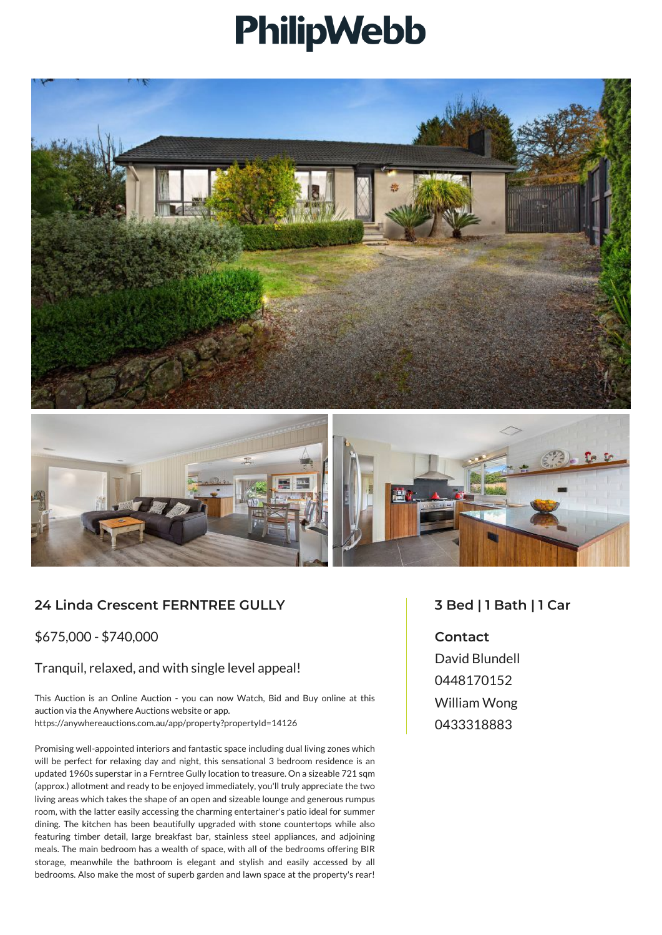## PhilipWebb





## **24 Linda Crescent FERNTREE GULLY**

\$675,000 - \$740,000

## Tranquil, relaxed, and with single level appeal!

This Auction is an Online Auction - you can now Watch, Bid and Buy online at this auction via the Anywhere Auctions website or app. https://anywhereauctions.com.au/app/property?propertyId=14126

Promising well-appointed interiors and fantastic space including dual living zones which will be perfect for relaxing day and night, this sensational 3 bedroom residence is an updated 1960s superstar in a Ferntree Gully location to treasure. On a sizeable 721 sqm (approx.) allotment and ready to be enjoyed immediately, you'll truly appreciate the two living areas which takes the shape of an open and sizeable lounge and generous rumpus room, with the latter easily accessing the charming entertainer's patio ideal for summer dining. The kitchen has been beautifully upgraded with stone countertops while also featuring timber detail, large breakfast bar, stainless steel appliances, and adjoining meals. The main bedroom has a wealth of space, with all of the bedrooms offering BIR storage, meanwhile the bathroom is elegant and stylish and easily accessed by all bedrooms. Also make the most of superb garden and lawn space at the property's rear!

## **3 Bed | 1 Bath | 1 Car**

**Contact** David Blundell 0448170152 William Wong 0433318883